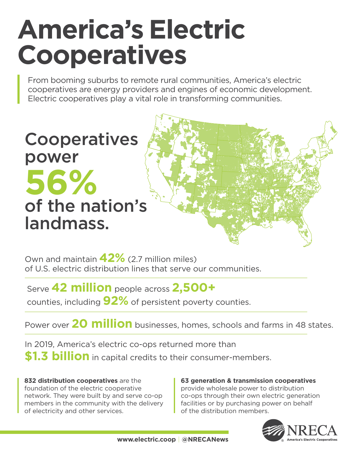# **America's Electric Cooperatives**

From booming suburbs to remote rural communities, America's electric cooperatives are energy providers and engines of economic development. Electric cooperatives play a vital role in transforming communities.

**Cooperatives** power **56%** of the nation's landmass.

Own and maintain **42%** (2.7 million miles) of U.S. electric distribution lines that serve our communities.

Serve **42 million** people across **2,500+** 

counties, including **92%** of persistent poverty counties.

Power over **20 million** businesses, homes, schools and farms in 48 states.

In 2019, America's electric co-ops returned more than **\$1.3 billion** in capital credits to their consumer-members.

**832 distribution cooperatives** are the foundation of the electric cooperative network. They were built by and serve co-op members in the community with the delivery of electricity and other services.

#### **63 generation & transmission cooperatives** provide wholesale power to distribution co-ops through their own electric generation facilities or by purchasing power on behalf of the distribution members.

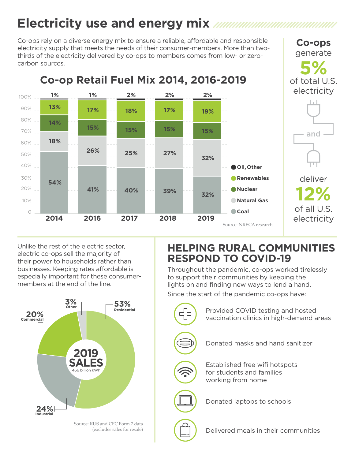# **Electricity use and energy mix**

Co-ops rely on a diverse energy mix to ensure a reliable, affordable and responsible electricity supply that meets the needs of their consumer-members. More than twothirds of the electricity delivered by co-ops to members comes from low- or zerocarbon sources.



Unlike the rest of the electric sector, electric co-ops sell the majority of their power to households rather than businesses. Keeping rates affordable is especially important for these consumermembers at the end of the line.



(excludes sales for resale)

# **HELPING RURAL COMMUNITIES RESPOND TO COVID-19**

**Co-ops** generate

Throughout the pandemic, co-ops worked tirelessly to support their communities by keeping the lights on and finding new ways to lend a hand.

Since the start of the pandemic co-ops have:

Provided COVID testing and hosted Е ו ר vaccination clinics in high-demand areas Donated masks and hand sanitizerEstablished free wifi hotspots for students and families working from home Donated laptops to schools Delivered meals in their communities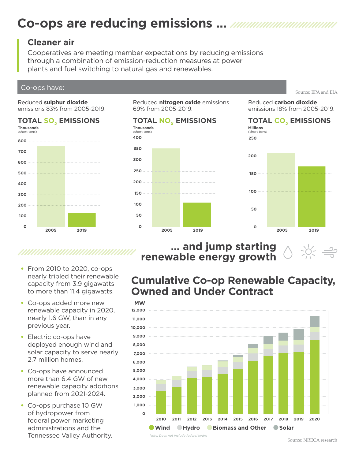# **Co-ops are reducing emissions …**

### **Cleaner air**

Cooperatives are meeting member expectations by reducing emissions through a combination of emission-reduction measures at power plants and fuel switching to natural gas and renewables.

# Co-ops have: Source: EPA and EIA and EIA and EIA and EIA and EIA and EIA and EIA and EIA and EIA and EIA and EIA

Reduced **sulphur dioxide** emissions 83% from 2005-2019.

#### **TOTAL SO2 EMISSIONS**



Reduced **nitrogen oxide** emissions 69% from 2005-2019.



#### Reduced **carbon dioxide** emissions 18% from 2005-2019.



### **… and jump starting renewable energy growth**

# 

- From 2010 to 2020, co-ops nearly tripled their renewable capacity from 3.9 gigawatts to more than 11.4 gigawatts.
- Co-ops added more new renewable capacity in 2020, nearly 1.6 GW, than in any previous year.
- Electric co-ops have deployed enough wind and solar capacity to serve nearly 2.7 million homes.
- Co-ops have announced more than 6.4 GW of new renewable capacity additions planned from 2021-2024.
- Co-ops purchase 10 GW of hydropower from federal power marketing administrations and the Tennessee Valley Authority. Note: Does not include federal hydro Source: NRECA research

# **Cumulative Co-op Renewable Capacity, Owned and Under Contract**



*Note: Does not include federal hydro*